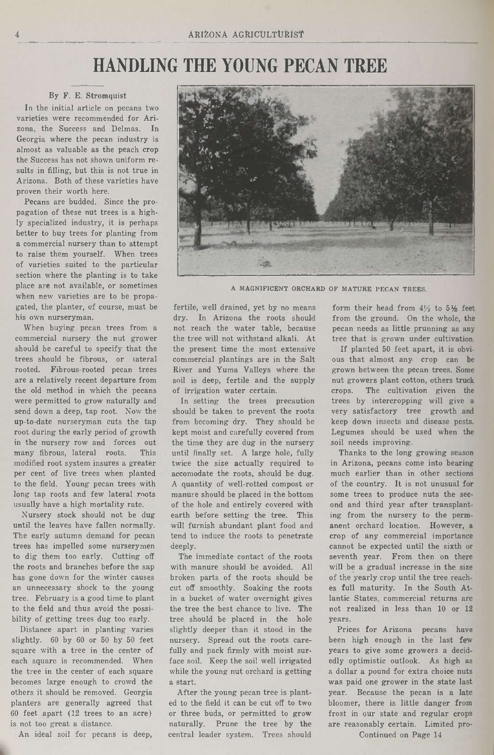# HANDLING THE YOUNG PECAN TREE

### By F. E. Stromquist

In the initial article on pecans two varieties were recommended for Arizona, the Success and Delmas. In Georgia where the pecan industry is almost as valuable as the peach crop the Success has not shown uniform results in filling, but this is not true in Arizona. Both of these varieties have proven their worth here.

Pecans are budded. Since the propagation of these nut trees is <sup>a</sup> highly specialized industry, it is perhaps better to buy trees for planting from a commercial nursery than to attempt to raise them yourself. When trees of varieties suited to the particular section where the planting is to take place are not available, or sometimes when new varieties are to be propagated, the planter, of course, must be his own nurseryman.

When buying pecan trees from <sup>a</sup> commercial nursery the nut grower should be careful to specify that the trees should be fibrous, or lateral rooted. Fibrous-rooted pecan trees are <sup>a</sup> relatively recent departure from the old method in which the pecans were permitted to grow naturally and send down a deep, tap root. Now the up-to-date nurseryman cuts the tap root during the early period of growth in the nursery row and forces out<br>many fibrous, lateral roots. This many fibrous, lateral roots. modified root system insures <sup>a</sup> greater per cent of live trees when planted to the field. Young pecan trees with long tap roots and few lateral roots usually have a high mortality rate.

Nursery stock should not be dug until the leaves have fallen normally. The early autumn demand for pecan trees has impelled some nurserymen to dig them too early. Cutting off the roots and branches before the sap has gone down for the winter causes an unnecessary shock to the young tree. February is <sup>a</sup> good time to plant to the field and thus avoid the possibility of getting trees dug too early.

Distance apart in planting varies slightly. <sup>60</sup> by <sup>60</sup> or <sup>50</sup> by <sup>50</sup> feet square with <sup>a</sup> tree in the center of. each square is recommended. When the tree in the center of each square becomes large enough to crowd the others it should be removed. Georgia planters are generally agreed that <sup>60</sup> feet apart (12 trees to an acre) is not too great <sup>a</sup> distance.

An ideal soil for pecans is deep,



A MAGNIFICENT ORCHARD OF MATURE PECAN TREES.

fertile, well drained, yet by no means dry. In Arizona the roots should not reach the water table, because the tree will not withstand alkali. At the present time the most extensive commercial plantings are in the Salt River and Yuma Valleys where the soil is deep, fertile and the supply of irrigation water certain.

In setting the trees precaution should be taken to prevent the roots from becoming dry. They should be kept moist and carefully covered from the time they are dug in the nursery until finally set. A large hole, fully twice the size actually required to accomodate the roots, should be dug. A quantity of well-rotted compost or manure should be placed in the bottom of the hole and entirely covered with earth before setting the tree. This will furnish abundant plant food and tend to induce the roots to penetrate deeply.

The immediate contact of the roots with manure should be avoided. All broken parts of the roots should be cut off smoothly. Soaking the roots in a bucket of water overnight gives the tree the best chance to live. The tree should be placed in the hole slightly deeper than it stood in the nursery. Spread out the roots carefully and pack firmly with moist surface soil. Keep the soil well irrigated while the young nut orchard is getting a start.

After the young pecan tree is planted to the field it can be cut off to two or three buds, or permitted to grow naturally. Prune the tree by the central leader system. Trees should

form their head from  $4\frac{1}{2}$  to  $5\frac{1}{2}$  feet from the ground. On the whole, the pecan needs as little prunning as any tree that is grown under cultivation.

If planted <sup>50</sup> feet apart, it is obvious that almost any crop can be grown between the pecan trees. Some nut growers plant cotton, others truck crops. The cultivation given the trees by intercropping will give <sup>a</sup> very satisfactory tree growth and keep down insects and disease pests. Legumes should be used when the soil needs improving.

Thanks to the long growing season in Arizona, pecans come into bearing much earlier than in other sections of the country. It is not unusual for some trees to produce nuts the second and third year after transplanting from the nursery to the permanent orchard location. However, a crop of any commercial importance cannot be expected until the sixth or seventh year. From then on there will be <sup>a</sup> gradual increase in the size of the yearly crop until the tree reaches full maturity. In the South Atlantic States, commercial returns are not realized in less than 10 or 12 years.

Prices for Arizona pecans have been high enough in the last few years to give some growers a decidedly optimistic outlook. As high as <sup>a</sup> dollar <sup>a</sup> pound for extra choice nuts was paid one grower in the state last year. Because the pecan is a late bloomer, there is little danger from frost in our state and regular crops are reasonably certain. Limited pro-

Continued on Page 14